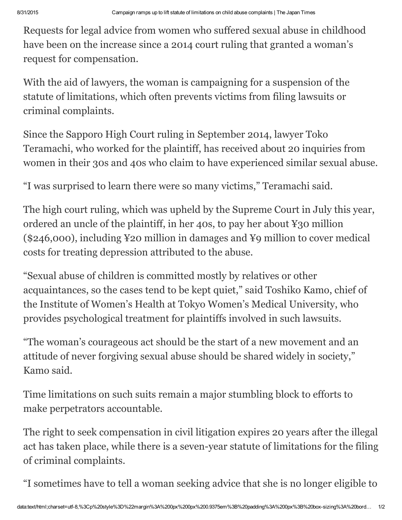Requests for legal advice from women who suffered sexual abuse in childhood have been on the increase since a 2014 court ruling that granted a woman's request for compensation.

With the aid of lawyers, the woman is campaigning for a suspension of the statute of limitations, which often prevents victims from filing lawsuits or criminal complaints.

Since the Sapporo High Court ruling in September 2014, lawyer Toko Teramachi, who worked for the plaintiff, has received about 20 inquiries from women in their 30s and 40s who claim to have experienced similar sexual abuse.

"I was surprised to learn there were so many victims," Teramachi said.

The high court ruling, which was upheld by the Supreme Court in July this year, ordered an uncle of the plaintiff, in her 40s, to pay her about ¥30 million (\$246,000), including ¥20 million in damages and ¥9 million to cover medical costs for treating depression attributed to the abuse.

"Sexual abuse of children is committed mostly by relatives or other acquaintances, so the cases tend to be kept quiet," said Toshiko Kamo, chief of the Institute of Women's Health at Tokyo Women's Medical University, who provides psychological treatment for plaintiffs involved in such lawsuits.

"The woman's courageous act should be the start of a new movement and an attitude of never forgiving sexual abuse should be shared widely in society," Kamo said.

Time limitations on such suits remain a major stumbling block to efforts to make perpetrators accountable.

The right to seek compensation in civil litigation expires 20 years after the illegal act has taken place, while there is a seven-year statute of limitations for the filing of criminal complaints.

"I sometimes have to tell a woman seeking advice that she is no longer eligible to